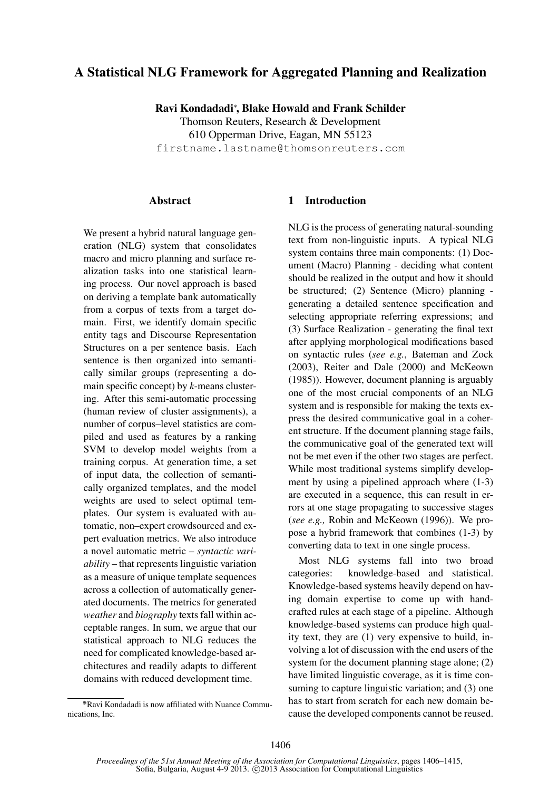# A Statistical NLG Framework for Aggregated Planning and Realization

Ravi Kondadadi<sup>∗</sup> , Blake Howald and Frank Schilder

Thomson Reuters, Research & Development 610 Opperman Drive, Eagan, MN 55123 firstname.lastname@thomsonreuters.com

## Abstract

We present a hybrid natural language generation (NLG) system that consolidates macro and micro planning and surface realization tasks into one statistical learning process. Our novel approach is based on deriving a template bank automatically from a corpus of texts from a target domain. First, we identify domain specific entity tags and Discourse Representation Structures on a per sentence basis. Each sentence is then organized into semantically similar groups (representing a domain specific concept) by *k*-means clustering. After this semi-automatic processing (human review of cluster assignments), a number of corpus–level statistics are compiled and used as features by a ranking SVM to develop model weights from a training corpus. At generation time, a set of input data, the collection of semantically organized templates, and the model weights are used to select optimal templates. Our system is evaluated with automatic, non–expert crowdsourced and expert evaluation metrics. We also introduce a novel automatic metric – *syntactic variability* – that represents linguistic variation as a measure of unique template sequences across a collection of automatically generated documents. The metrics for generated *weather* and *biography* texts fall within acceptable ranges. In sum, we argue that our statistical approach to NLG reduces the need for complicated knowledge-based architectures and readily adapts to different domains with reduced development time.

#### ∗ \*Ravi Kondadadi is now affiliated with Nuance Communications, Inc.

## 1 Introduction

NLG is the process of generating natural-sounding text from non-linguistic inputs. A typical NLG system contains three main components: (1) Document (Macro) Planning - deciding what content should be realized in the output and how it should be structured; (2) Sentence (Micro) planning generating a detailed sentence specification and selecting appropriate referring expressions; and (3) Surface Realization - generating the final text after applying morphological modifications based on syntactic rules (*see e.g.*, Bateman and Zock (2003), Reiter and Dale (2000) and McKeown (1985)). However, document planning is arguably one of the most crucial components of an NLG system and is responsible for making the texts express the desired communicative goal in a coherent structure. If the document planning stage fails, the communicative goal of the generated text will not be met even if the other two stages are perfect. While most traditional systems simplify development by using a pipelined approach where (1-3) are executed in a sequence, this can result in errors at one stage propagating to successive stages (*see e.g.,* Robin and McKeown (1996)). We propose a hybrid framework that combines (1-3) by converting data to text in one single process.

Most NLG systems fall into two broad categories: knowledge-based and statistical. Knowledge-based systems heavily depend on having domain expertise to come up with handcrafted rules at each stage of a pipeline. Although knowledge-based systems can produce high quality text, they are (1) very expensive to build, involving a lot of discussion with the end users of the system for the document planning stage alone; (2) have limited linguistic coverage, as it is time consuming to capture linguistic variation; and (3) one has to start from scratch for each new domain because the developed components cannot be reused.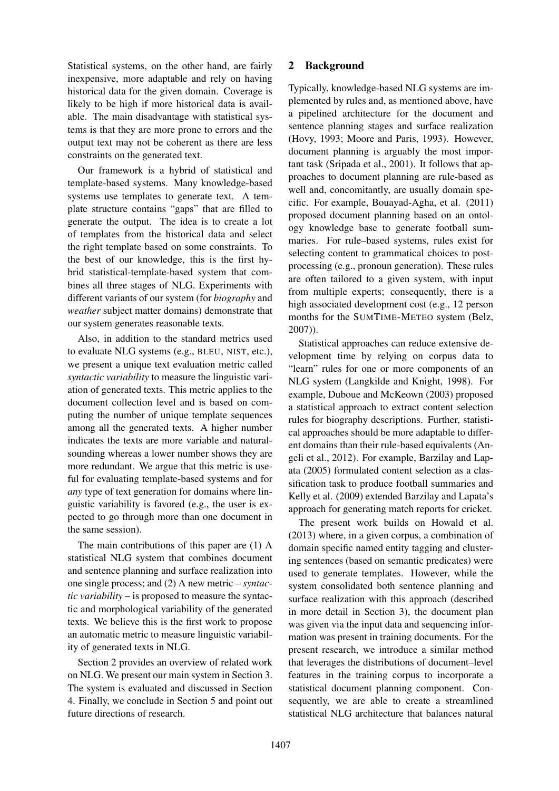Statistical systems, on the other hand, are fairly inexpensive, more adaptable and rely on having historical data for the given domain. Coverage is likely to be high if more historical data is available. The main disadvantage with statistical systems is that they are more prone to errors and the output text may not be coherent as there are less constraints on the generated text.

Our framework is a hybrid of statistical and template-based systems. Many knowledge-based systems use templates to generate text. A template structure contains "gaps" that are filled to generate the output. The idea is to create a lot of templates from the historical data and select the right template based on some constraints. To the best of our knowledge, this is the first hybrid statistical-template-based system that combines all three stages of NLG. Experiments with different variants of our system (for *biography* and *weather* subject matter domains) demonstrate that our system generates reasonable texts.

Also, in addition to the standard metrics used to evaluate NLG systems (e.g., BLEU, NIST, etc.), we present a unique text evaluation metric called *syntactic variability* to measure the linguistic variation of generated texts. This metric applies to the document collection level and is based on computing the number of unique template sequences among all the generated texts. A higher number indicates the texts are more variable and naturalsounding whereas a lower number shows they are more redundant. We argue that this metric is useful for evaluating template-based systems and for *any* type of text generation for domains where linguistic variability is favored (e.g., the user is expected to go through more than one document in the same session).

The main contributions of this paper are (1) A statistical NLG system that combines document and sentence planning and surface realization into one single process; and (2) A new metric – *syntactic variability* – is proposed to measure the syntactic and morphological variability of the generated texts. We believe this is the first work to propose an automatic metric to measure linguistic variability of generated texts in NLG.

Section 2 provides an overview of related work on NLG. We present our main system in Section 3. The system is evaluated and discussed in Section 4. Finally, we conclude in Section 5 and point out future directions of research.

## 2 Background

Typically, knowledge-based NLG systems are implemented by rules and, as mentioned above, have a pipelined architecture for the document and sentence planning stages and surface realization (Hovy, 1993; Moore and Paris, 1993). However, document planning is arguably the most important task (Sripada et al., 2001). It follows that approaches to document planning are rule-based as well and, concomitantly, are usually domain specific. For example, Bouayad-Agha, et al. (2011) proposed document planning based on an ontology knowledge base to generate football summaries. For rule–based systems, rules exist for selecting content to grammatical choices to postprocessing (e.g., pronoun generation). These rules are often tailored to a given system, with input from multiple experts; consequently, there is a high associated development cost (e.g., 12 person months for the SUMTIME-METEO system (Belz, 2007)).

Statistical approaches can reduce extensive development time by relying on corpus data to "learn" rules for one or more components of an NLG system (Langkilde and Knight, 1998). For example, Duboue and McKeown (2003) proposed a statistical approach to extract content selection rules for biography descriptions. Further, statistical approaches should be more adaptable to different domains than their rule-based equivalents (Angeli et al., 2012). For example, Barzilay and Lapata (2005) formulated content selection as a classification task to produce football summaries and Kelly et al. (2009) extended Barzilay and Lapata's approach for generating match reports for cricket.

The present work builds on Howald et al. (2013) where, in a given corpus, a combination of domain specific named entity tagging and clustering sentences (based on semantic predicates) were used to generate templates. However, while the system consolidated both sentence planning and surface realization with this approach (described in more detail in Section 3), the document plan was given via the input data and sequencing information was present in training documents. For the present research, we introduce a similar method that leverages the distributions of document–level features in the training corpus to incorporate a statistical document planning component. Consequently, we are able to create a streamlined statistical NLG architecture that balances natural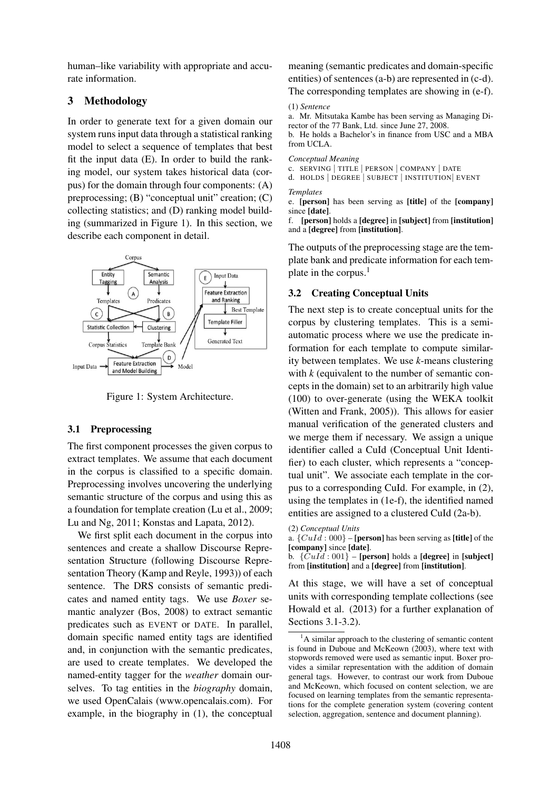human–like variability with appropriate and accurate information.

## 3 Methodology

In order to generate text for a given domain our system runs input data through a statistical ranking model to select a sequence of templates that best fit the input data (E). In order to build the ranking model, our system takes historical data (corpus) for the domain through four components: (A) preprocessing; (B) "conceptual unit" creation; (C) collecting statistics; and (D) ranking model building (summarized in Figure 1). In this section, we describe each component in detail.



Figure 1: System Architecture.

## 3.1 Preprocessing

The first component processes the given corpus to extract templates. We assume that each document in the corpus is classified to a specific domain. Preprocessing involves uncovering the underlying semantic structure of the corpus and using this as a foundation for template creation (Lu et al., 2009; Lu and Ng, 2011; Konstas and Lapata, 2012).

We first split each document in the corpus into sentences and create a shallow Discourse Representation Structure (following Discourse Representation Theory (Kamp and Reyle, 1993)) of each sentence. The DRS consists of semantic predicates and named entity tags. We use *Boxer* semantic analyzer (Bos, 2008) to extract semantic predicates such as EVENT or DATE. In parallel, domain specific named entity tags are identified and, in conjunction with the semantic predicates, are used to create templates. We developed the named-entity tagger for the *weather* domain ourselves. To tag entities in the *biography* domain, we used OpenCalais (www.opencalais.com). For example, in the biography in (1), the conceptual

meaning (semantic predicates and domain-specific entities) of sentences (a-b) are represented in (c-d).

The corresponding templates are showing in (e-f).

(1) *Sentence*

a. Mr. Mitsutaka Kambe has been serving as Managing Director of the 77 Bank, Ltd. since June 27, 2008.

b. He holds a Bachelor's in finance from USC and a MBA from UCLA.

*Conceptual Meaning*

c. SERVING | TITLE | PERSON | COMPANY | DATE

d. HOLDS | DEGREE | SUBJECT | INSTITUTION| EVENT

*Templates*

e. [person] has been serving as [title] of the [company] since [date].

f. [person] holds a [degree] in [subject] from [institution] and a [degree] from [institution].

The outputs of the preprocessing stage are the template bank and predicate information for each template in the corpus.<sup>1</sup>

## 3.2 Creating Conceptual Units

The next step is to create conceptual units for the corpus by clustering templates. This is a semiautomatic process where we use the predicate information for each template to compute similarity between templates. We use *k*-means clustering with *k* (equivalent to the number of semantic concepts in the domain) set to an arbitrarily high value (100) to over-generate (using the WEKA toolkit (Witten and Frank, 2005)). This allows for easier manual verification of the generated clusters and we merge them if necessary. We assign a unique identifier called a CuId (Conceptual Unit Identifier) to each cluster, which represents a "conceptual unit". We associate each template in the corpus to a corresponding CuId. For example, in (2), using the templates in (1e-f), the identified named entities are assigned to a clustered CuId (2a-b).

a.  $\{CuId: 000\}$  – [**person**] has been serving as [**title**] of the [company] since [date].

b.  $\{Cul \: d: 001\}$  – [person] holds a [degree] in [subject] from [institution] and a [degree] from [institution].

At this stage, we will have a set of conceptual units with corresponding template collections (see Howald et al. (2013) for a further explanation of Sections 3.1-3.2).

<sup>(2)</sup> *Conceptual Units*

<sup>1</sup>A similar approach to the clustering of semantic content is found in Duboue and McKeown (2003), where text with stopwords removed were used as semantic input. Boxer provides a similar representation with the addition of domain general tags. However, to contrast our work from Duboue and McKeown, which focused on content selection, we are focused on learning templates from the semantic representations for the complete generation system (covering content selection, aggregation, sentence and document planning).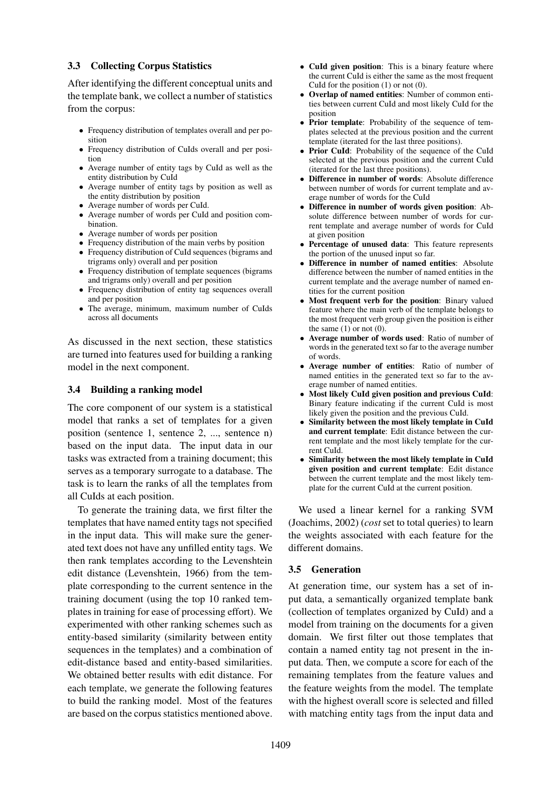### 3.3 Collecting Corpus Statistics

After identifying the different conceptual units and the template bank, we collect a number of statistics from the corpus:

- Frequency distribution of templates overall and per position
- Frequency distribution of CuIds overall and per position
- Average number of entity tags by CuId as well as the entity distribution by CuId
- Average number of entity tags by position as well as the entity distribution by position
- Average number of words per CuId.
- Average number of words per CuId and position combination.
- Average number of words per position
- Frequency distribution of the main verbs by position
- Frequency distribution of CuId sequences (bigrams and trigrams only) overall and per position
- Frequency distribution of template sequences (bigrams and trigrams only) overall and per position
- Frequency distribution of entity tag sequences overall and per position
- The average, minimum, maximum number of CuIds across all documents

As discussed in the next section, these statistics are turned into features used for building a ranking model in the next component.

## 3.4 Building a ranking model

The core component of our system is a statistical model that ranks a set of templates for a given position (sentence 1, sentence 2, ..., sentence n) based on the input data. The input data in our tasks was extracted from a training document; this serves as a temporary surrogate to a database. The task is to learn the ranks of all the templates from all CuIds at each position.

To generate the training data, we first filter the templates that have named entity tags not specified in the input data. This will make sure the generated text does not have any unfilled entity tags. We then rank templates according to the Levenshtein edit distance (Levenshtein, 1966) from the template corresponding to the current sentence in the training document (using the top 10 ranked templates in training for ease of processing effort). We experimented with other ranking schemes such as entity-based similarity (similarity between entity sequences in the templates) and a combination of edit-distance based and entity-based similarities. We obtained better results with edit distance. For each template, we generate the following features to build the ranking model. Most of the features are based on the corpus statistics mentioned above.

- CuId given position: This is a binary feature where the current CuId is either the same as the most frequent CuId for the position (1) or not (0).
- Overlap of named entities: Number of common entities between current CuId and most likely CuId for the position
- Prior template: Probability of the sequence of templates selected at the previous position and the current template (iterated for the last three positions).
- Prior CuId: Probability of the sequence of the CuId selected at the previous position and the current CuId (iterated for the last three positions).
- Difference in number of words: Absolute difference between number of words for current template and average number of words for the CuId
- Difference in number of words given position: Absolute difference between number of words for current template and average number of words for CuId at given position
- Percentage of unused data: This feature represents the portion of the unused input so far.
- Difference in number of named entities: Absolute difference between the number of named entities in the current template and the average number of named entities for the current position
- Most frequent verb for the position: Binary valued feature where the main verb of the template belongs to the most frequent verb group given the position is either the same  $(1)$  or not  $(0)$ .
- Average number of words used: Ratio of number of words in the generated text so far to the average number of words.
- Average number of entities: Ratio of number of named entities in the generated text so far to the average number of named entities.
- Most likely CuId given position and previous CuId: Binary feature indicating if the current CuId is most likely given the position and the previous CuId.
- Similarity between the most likely template in CuId and current template: Edit distance between the current template and the most likely template for the current CuId.
- Similarity between the most likely template in CuId given position and current template: Edit distance between the current template and the most likely template for the current CuId at the current position.

We used a linear kernel for a ranking SVM (Joachims, 2002) (*cost* set to total queries) to learn the weights associated with each feature for the different domains.

## 3.5 Generation

At generation time, our system has a set of input data, a semantically organized template bank (collection of templates organized by CuId) and a model from training on the documents for a given domain. We first filter out those templates that contain a named entity tag not present in the input data. Then, we compute a score for each of the remaining templates from the feature values and the feature weights from the model. The template with the highest overall score is selected and filled with matching entity tags from the input data and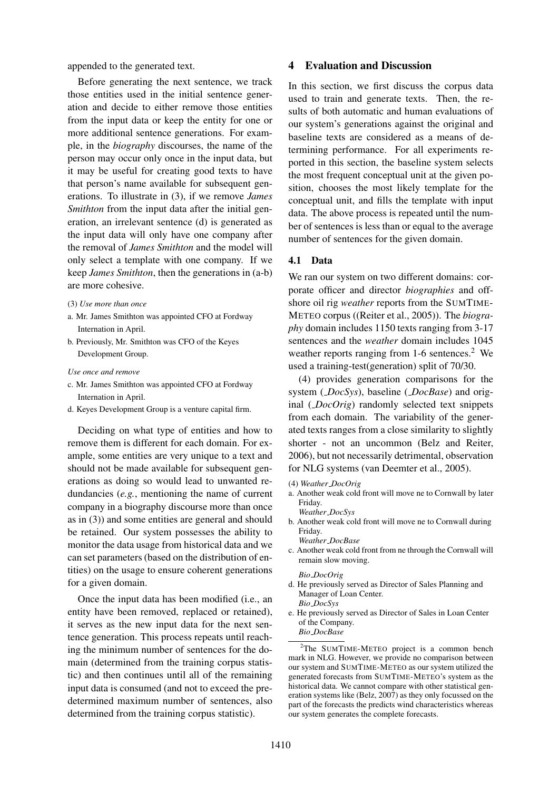appended to the generated text.

Before generating the next sentence, we track those entities used in the initial sentence generation and decide to either remove those entities from the input data or keep the entity for one or more additional sentence generations. For example, in the *biography* discourses, the name of the person may occur only once in the input data, but it may be useful for creating good texts to have that person's name available for subsequent generations. To illustrate in (3), if we remove *James Smithton* from the input data after the initial generation, an irrelevant sentence (d) is generated as the input data will only have one company after the removal of *James Smithton* and the model will only select a template with one company. If we keep *James Smithton*, then the generations in (a-b) are more cohesive.

(3) *Use more than once*

- a. Mr. James Smithton was appointed CFO at Fordway Internation in April.
- b. Previously, Mr. Smithton was CFO of the Keyes Development Group.

*Use once and remove*

- c. Mr. James Smithton was appointed CFO at Fordway Internation in April.
- d. Keyes Development Group is a venture capital firm.

Deciding on what type of entities and how to remove them is different for each domain. For example, some entities are very unique to a text and should not be made available for subsequent generations as doing so would lead to unwanted redundancies (*e.g.*, mentioning the name of current company in a biography discourse more than once as in (3)) and some entities are general and should be retained. Our system possesses the ability to monitor the data usage from historical data and we can set parameters (based on the distribution of entities) on the usage to ensure coherent generations for a given domain.

Once the input data has been modified (i.e., an entity have been removed, replaced or retained), it serves as the new input data for the next sentence generation. This process repeats until reaching the minimum number of sentences for the domain (determined from the training corpus statistic) and then continues until all of the remaining input data is consumed (and not to exceed the predetermined maximum number of sentences, also determined from the training corpus statistic).

#### 4 Evaluation and Discussion

In this section, we first discuss the corpus data used to train and generate texts. Then, the results of both automatic and human evaluations of our system's generations against the original and baseline texts are considered as a means of determining performance. For all experiments reported in this section, the baseline system selects the most frequent conceptual unit at the given position, chooses the most likely template for the conceptual unit, and fills the template with input data. The above process is repeated until the number of sentences is less than or equal to the average number of sentences for the given domain.

### 4.1 Data

We ran our system on two different domains: corporate officer and director *biographies* and offshore oil rig *weather* reports from the SUMTIME-METEO corpus ((Reiter et al., 2005)). The *biography* domain includes 1150 texts ranging from 3-17 sentences and the *weather* domain includes 1045 weather reports ranging from 1-6 sentences.<sup>2</sup> We used a training-test(generation) split of 70/30.

(4) provides generation comparisons for the system ( *DocSys*), baseline ( *DocBase*) and original ( *DocOrig*) randomly selected text snippets from each domain. The variability of the generated texts ranges from a close similarity to slightly shorter - not an uncommon (Belz and Reiter, 2006), but not necessarily detrimental, observation for NLG systems (van Deemter et al., 2005).

- (4) *Weather DocOrig*
- a. Another weak cold front will move ne to Cornwall by later Friday. *Weather DocSys*
- b. Another weak cold front will move ne to Cornwall during Friday. *Weather DocBase*
- c. Another weak cold front from ne through the Cornwall will remain slow moving.

#### *Bio DocOrig*

- d. He previously served as Director of Sales Planning and Manager of Loan Center. *Bio DocSys*
- e. He previously served as Director of Sales in Loan Center of the Company.

## *Bio DocBase*

<sup>2</sup>The SUMTIME-METEO project is a common bench mark in NLG. However, we provide no comparison between our system and SUMTIME-METEO as our system utilized the generated forecasts from SUMTIME-METEO's system as the historical data. We cannot compare with other statistical generation systems like (Belz, 2007) as they only focussed on the part of the forecasts the predicts wind characteristics whereas our system generates the complete forecasts.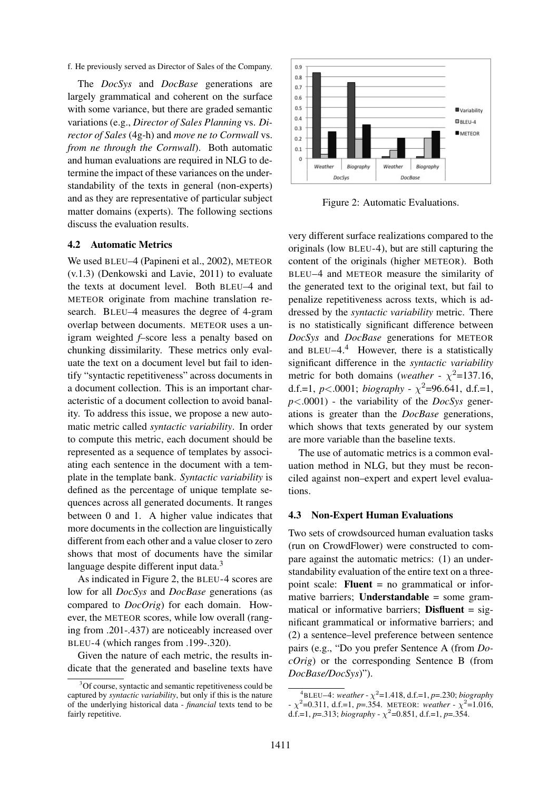f. He previously served as Director of Sales of the Company.

The *DocSys* and *DocBase* generations are largely grammatical and coherent on the surface with some variance, but there are graded semantic variations (e.g., *Director of Sales Planning* vs. *Director of Sales* (4g-h) and *move ne to Cornwall* vs. *from ne through the Cornwall*). Both automatic and human evaluations are required in NLG to determine the impact of these variances on the understandability of the texts in general (non-experts) and as they are representative of particular subject matter domains (experts). The following sections discuss the evaluation results.

#### 4.2 Automatic Metrics

We used BLEU–4 (Papineni et al., 2002), METEOR (v.1.3) (Denkowski and Lavie, 2011) to evaluate the texts at document level. Both BLEU–4 and METEOR originate from machine translation research. BLEU–4 measures the degree of 4-gram overlap between documents. METEOR uses a unigram weighted *f*–score less a penalty based on chunking dissimilarity. These metrics only evaluate the text on a document level but fail to identify "syntactic repetitiveness" across documents in a document collection. This is an important characteristic of a document collection to avoid banality. To address this issue, we propose a new automatic metric called *syntactic variability*. In order to compute this metric, each document should be represented as a sequence of templates by associating each sentence in the document with a template in the template bank. *Syntactic variability* is defined as the percentage of unique template sequences across all generated documents. It ranges between 0 and 1. A higher value indicates that more documents in the collection are linguistically different from each other and a value closer to zero shows that most of documents have the similar language despite different input data.<sup>3</sup>

As indicated in Figure 2, the BLEU-4 scores are low for all *DocSys* and *DocBase* generations (as compared to *DocOrig*) for each domain. However, the METEOR scores, while low overall (ranging from .201-.437) are noticeably increased over BLEU-4 (which ranges from .199-.320).

Given the nature of each metric, the results indicate that the generated and baseline texts have



Figure 2: Automatic Evaluations.

very different surface realizations compared to the originals (low BLEU-4), but are still capturing the content of the originals (higher METEOR). Both BLEU–4 and METEOR measure the similarity of the generated text to the original text, but fail to penalize repetitiveness across texts, which is addressed by the *syntactic variability* metric. There is no statistically significant difference between *DocSys* and *DocBase* generations for METEOR and BLEU–4. $4$  However, there is a statistically significant difference in the *syntactic variability* metric for both domains (*weather* -  $\chi^2$ =137.16, d.f.=1,  $p$ <.0001; *biography* -  $\chi^2$ =96.641, d.f.=1, *p*<.0001) - the variability of the *DocSys* generations is greater than the *DocBase* generations, which shows that texts generated by our system are more variable than the baseline texts.

The use of automatic metrics is a common evaluation method in NLG, but they must be reconciled against non–expert and expert level evaluations.

#### 4.3 Non-Expert Human Evaluations

Two sets of crowdsourced human evaluation tasks (run on CrowdFlower) were constructed to compare against the automatic metrics: (1) an understandability evaluation of the entire text on a threepoint scale: **Fluent** = no grammatical or informative barriers; **Understandable** = some grammatical or informative barriers; **Disfluent** =  $sig$ nificant grammatical or informative barriers; and (2) a sentence–level preference between sentence pairs (e.g., "Do you prefer Sentence A (from *DocOrig*) or the corresponding Sentence B (from *DocBase/DocSys*)").

 $3^3$ Of course, syntactic and semantic repetitiveness could be captured by *syntactic variability*, but only if this is the nature of the underlying historical data - *financial* texts tend to be fairly repetitive.

 $^{4}$ BLEU–4: *weather* -  $\chi^{2}$ =1.418, d.f.=1, *p*=.230; *biography*  $-\chi^2$ =0.311, d.f.=1, *p*=.354. METEOR: *weather* -  $\chi^2$ =1.016, d.f.=1, *p*=.313; *biography* -  $\chi^2$ =0.851, d.f.=1, *p*=.354.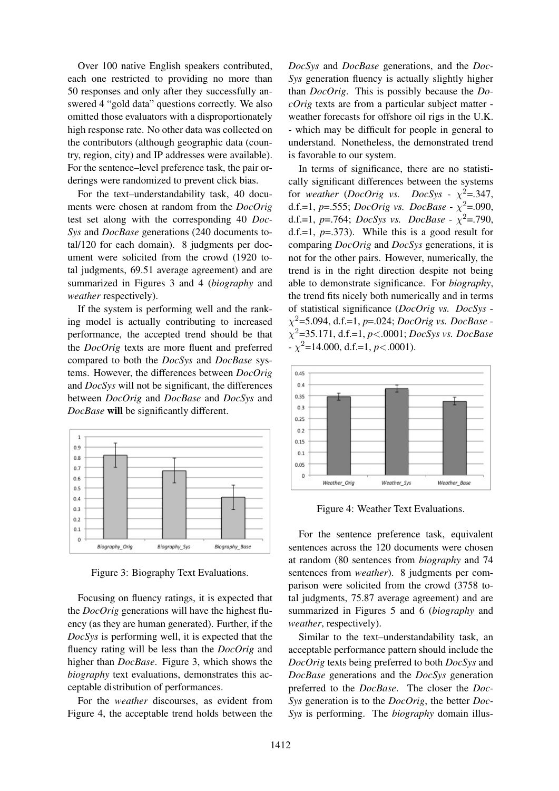Over 100 native English speakers contributed, each one restricted to providing no more than 50 responses and only after they successfully answered 4 "gold data" questions correctly. We also omitted those evaluators with a disproportionately high response rate. No other data was collected on the contributors (although geographic data (country, region, city) and IP addresses were available). For the sentence–level preference task, the pair orderings were randomized to prevent click bias.

For the text–understandability task, 40 documents were chosen at random from the *DocOrig* test set along with the corresponding 40 *Doc-Sys* and *DocBase* generations (240 documents total/120 for each domain). 8 judgments per document were solicited from the crowd (1920 total judgments, 69.51 average agreement) and are summarized in Figures 3 and 4 (*biography* and *weather* respectively).

If the system is performing well and the ranking model is actually contributing to increased performance, the accepted trend should be that the *DocOrig* texts are more fluent and preferred compared to both the *DocSys* and *DocBase* systems. However, the differences between *DocOrig* and *DocSys* will not be significant, the differences between *DocOrig* and *DocBase* and *DocSys* and *DocBase* will be significantly different.



Figure 3: Biography Text Evaluations.

Focusing on fluency ratings, it is expected that the *DocOrig* generations will have the highest fluency (as they are human generated). Further, if the *DocSys* is performing well, it is expected that the fluency rating will be less than the *DocOrig* and higher than *DocBase*. Figure 3, which shows the *biography* text evaluations, demonstrates this acceptable distribution of performances.

For the *weather* discourses, as evident from Figure 4, the acceptable trend holds between the

*DocSys* and *DocBase* generations, and the *Doc-Sys* generation fluency is actually slightly higher than *DocOrig*. This is possibly because the *DocOrig* texts are from a particular subject matter weather forecasts for offshore oil rigs in the U.K. - which may be difficult for people in general to understand. Nonetheless, the demonstrated trend is favorable to our system.

In terms of significance, there are no statistically significant differences between the systems for *weather* (*DocOrig vs.*  $DocSys - \chi^2 = 347,$ d.f.=1, *p*=.555; *DocOrig vs. DocBase* -  $\chi^2$ =.090, d.f.=1,  $p$ =.764; *DocSys vs. DocBase* -  $\chi^2$ =.790, d.f.=1, *p*=.373). While this is a good result for comparing *DocOrig* and *DocSys* generations, it is not for the other pairs. However, numerically, the trend is in the right direction despite not being able to demonstrate significance. For *biography*, the trend fits nicely both numerically and in terms of statistical significance (*DocOrig vs. DocSys* χ <sup>2</sup>=5.094, d.f.=1, *p*=.024; *DocOrig vs. DocBase* χ <sup>2</sup>=35.171, d.f.=1, *p*<.0001; *DocSys vs. DocBase*  $-\chi^2$ =14.000, d.f.=1, *p*<.0001).



Figure 4: Weather Text Evaluations.

For the sentence preference task, equivalent sentences across the 120 documents were chosen at random (80 sentences from *biography* and 74 sentences from *weather*). 8 judgments per comparison were solicited from the crowd (3758 total judgments, 75.87 average agreement) and are summarized in Figures 5 and 6 (*biography* and *weather*, respectively).

Similar to the text–understandability task, an acceptable performance pattern should include the *DocOrig* texts being preferred to both *DocSys* and *DocBase* generations and the *DocSys* generation preferred to the *DocBase*. The closer the *Doc-Sys* generation is to the *DocOrig*, the better *Doc-Sys* is performing. The *biography* domain illus-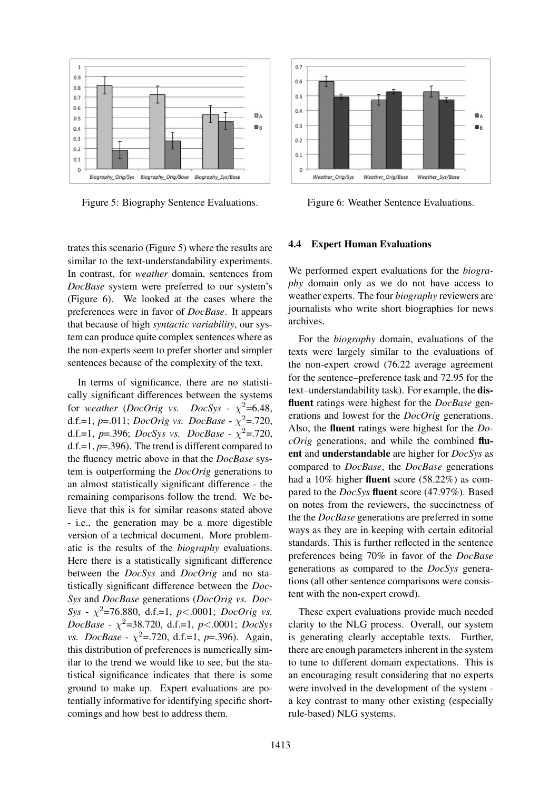

Figure 5: Biography Sentence Evaluations.

trates this scenario (Figure 5) where the results are similar to the text-understandability experiments. In contrast, for *weather* domain, sentences from *DocBase* system were preferred to our system's (Figure 6). We looked at the cases where the preferences were in favor of *DocBase*. It appears that because of high *syntactic variability*, our system can produce quite complex sentences where as the non-experts seem to prefer shorter and simpler sentences because of the complexity of the text.

In terms of significance, there are no statistically significant differences between the systems for *weather* (*DocOrig vs. DocSys* -  $\chi^2$ =6.48, d.f.=1,  $p$ =.011; *DocOrig vs. DocBase* -  $\chi^2$ =.720, d.f.=1,  $p$ =.396; *DocSys vs. DocBase* -  $\chi^2$ =.720, d.f.=1, *p*=.396). The trend is different compared to the fluency metric above in that the *DocBase* system is outperforming the *DocOrig* generations to an almost statistically significant difference - the remaining comparisons follow the trend. We believe that this is for similar reasons stated above - i.e., the generation may be a more digestible version of a technical document. More problematic is the results of the *biography* evaluations. Here there is a statistically significant difference between the *DocSys* and *DocOrig* and no statistically significant difference between the *Doc-Sys* and *DocBase* generations (*DocOrig vs. Doc-Sys* - χ <sup>2</sup>=76.880, d.f.=1, *p*<.0001; *DocOrig vs. DocBase* - χ <sup>2</sup>=38.720, d.f.=1, *p*<.0001; *DocSys vs. DocBase* -  $\chi^2$ =.720, d.f.=1, *p*=.396). Again, this distribution of preferences is numerically similar to the trend we would like to see, but the statistical significance indicates that there is some ground to make up. Expert evaluations are potentially informative for identifying specific shortcomings and how best to address them.



Figure 6: Weather Sentence Evaluations.

### 4.4 Expert Human Evaluations

We performed expert evaluations for the *biography* domain only as we do not have access to weather experts. The four *biography* reviewers are journalists who write short biographies for news archives.

For the *biography* domain, evaluations of the texts were largely similar to the evaluations of the non-expert crowd (76.22 average agreement for the sentence–preference task and 72.95 for the text–understandability task). For example, the disfluent ratings were highest for the *DocBase* generations and lowest for the *DocOrig* generations. Also, the fluent ratings were highest for the *DocOrig* generations, and while the combined fluent and understandable are higher for *DocSys* as compared to *DocBase*, the *DocBase* generations had a 10% higher fluent score (58.22%) as compared to the *DocSys* fluent score (47.97%). Based on notes from the reviewers, the succinctness of the the *DocBase* generations are preferred in some ways as they are in keeping with certain editorial standards. This is further reflected in the sentence preferences being 70% in favor of the *DocBase* generations as compared to the *DocSys* generations (all other sentence comparisons were consistent with the non-expert crowd).

These expert evaluations provide much needed clarity to the NLG process. Overall, our system is generating clearly acceptable texts. Further, there are enough parameters inherent in the system to tune to different domain expectations. This is an encouraging result considering that no experts were involved in the development of the system a key contrast to many other existing (especially rule-based) NLG systems.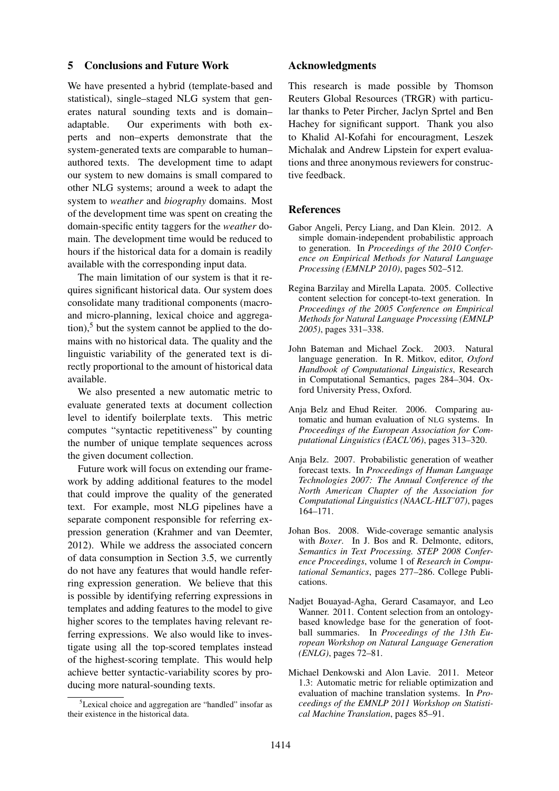## 5 Conclusions and Future Work

We have presented a hybrid (template-based and statistical), single–staged NLG system that generates natural sounding texts and is domain– adaptable. Our experiments with both experts and non–experts demonstrate that the system-generated texts are comparable to human– authored texts. The development time to adapt our system to new domains is small compared to other NLG systems; around a week to adapt the system to *weather* and *biography* domains. Most of the development time was spent on creating the domain-specific entity taggers for the *weather* domain. The development time would be reduced to hours if the historical data for a domain is readily available with the corresponding input data.

The main limitation of our system is that it requires significant historical data. Our system does consolidate many traditional components (macroand micro-planning, lexical choice and aggregation), $5$  but the system cannot be applied to the domains with no historical data. The quality and the linguistic variability of the generated text is directly proportional to the amount of historical data available.

We also presented a new automatic metric to evaluate generated texts at document collection level to identify boilerplate texts. This metric computes "syntactic repetitiveness" by counting the number of unique template sequences across the given document collection.

Future work will focus on extending our framework by adding additional features to the model that could improve the quality of the generated text. For example, most NLG pipelines have a separate component responsible for referring expression generation (Krahmer and van Deemter, 2012). While we address the associated concern of data consumption in Section 3.5, we currently do not have any features that would handle referring expression generation. We believe that this is possible by identifying referring expressions in templates and adding features to the model to give higher scores to the templates having relevant referring expressions. We also would like to investigate using all the top-scored templates instead of the highest-scoring template. This would help achieve better syntactic-variability scores by producing more natural-sounding texts.

### Acknowledgments

This research is made possible by Thomson Reuters Global Resources (TRGR) with particular thanks to Peter Pircher, Jaclyn Sprtel and Ben Hachey for significant support. Thank you also to Khalid Al-Kofahi for encouragment, Leszek Michalak and Andrew Lipstein for expert evaluations and three anonymous reviewers for constructive feedback.

## References

- Gabor Angeli, Percy Liang, and Dan Klein. 2012. A simple domain-independent probabilistic approach to generation. In *Proceedings of the 2010 Conference on Empirical Methods for Natural Language Processing (EMNLP 2010)*, pages 502–512.
- Regina Barzilay and Mirella Lapata. 2005. Collective content selection for concept-to-text generation. In *Proceedings of the 2005 Conference on Empirical Methods for Natural Language Processing (EMNLP 2005)*, pages 331–338.
- John Bateman and Michael Zock. 2003. Natural language generation. In R. Mitkov, editor, *Oxford Handbook of Computational Linguistics*, Research in Computational Semantics, pages 284–304. Oxford University Press, Oxford.
- Anja Belz and Ehud Reiter. 2006. Comparing automatic and human evaluation of NLG systems. In *Proceedings of the European Association for Computational Linguistics (EACL'06)*, pages 313–320.
- Anja Belz. 2007. Probabilistic generation of weather forecast texts. In *Proceedings of Human Language Technologies 2007: The Annual Conference of the North American Chapter of the Association for Computational Linguistics (NAACL-HLT'07)*, pages 164–171.
- Johan Bos. 2008. Wide-coverage semantic analysis with *Boxer*. In J. Bos and R. Delmonte, editors, *Semantics in Text Processing. STEP 2008 Conference Proceedings*, volume 1 of *Research in Computational Semantics*, pages 277–286. College Publications.
- Nadjet Bouayad-Agha, Gerard Casamayor, and Leo Wanner. 2011. Content selection from an ontologybased knowledge base for the generation of football summaries. In *Proceedings of the 13th European Workshop on Natural Language Generation (ENLG)*, pages 72–81.
- Michael Denkowski and Alon Lavie. 2011. Meteor 1.3: Automatic metric for reliable optimization and evaluation of machine translation systems. In *Proceedings of the EMNLP 2011 Workshop on Statistical Machine Translation*, pages 85–91.

 ${}^{5}$ Lexical choice and aggregation are "handled" insofar as their existence in the historical data.